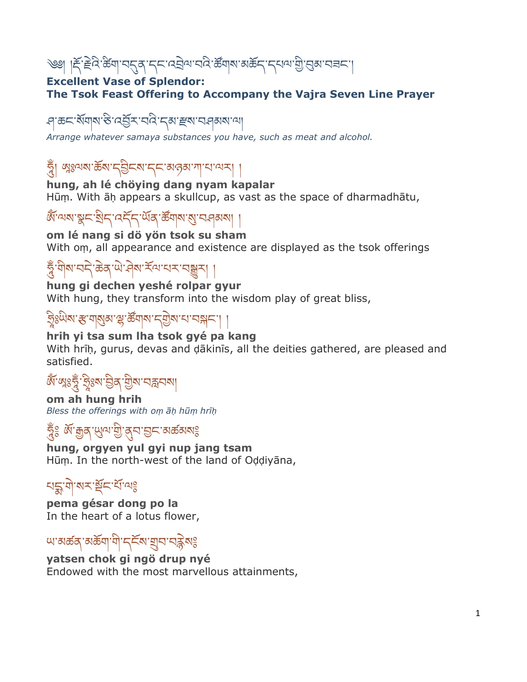## ঙা । দ্দ্ৰিদ্দুধুপ্ৰয়া বৰ্ত্তি বিভিন্ন প্ৰতি বিভিন্ন প্ৰয়োগ প্ৰতি বিভিন্ন প্ৰতি বিভিন্ন প্ৰতি বিভিন্ন প্ৰতি

#### **Excellent Vase of Splendor: The Tsok Feast Offering to Accompany the Vajra Seven Line Prayer**

#### ্প ক্ৰন মঁঘাম উ'ন্*ইন'* বন্ত্ৰ 'ন্*মা স্থম* 'ব্ৰৰ মান্য

*Arrange whatever samaya substances you have, such as meat and alcohol.*

### ত্নী ঋূঃঅম'ৰ্ক্তম'ন্ট্ৰনম'ন্ন'মজ্ঞাশ'ন'অম্

**hung, ah lé chöying dang nyam kapalar** Hūṃ. With āḥ appears a skullcup, as vast as the space of dharmadhātu,

# জঁলেৰাম্বুনাষ্ট্ৰন্দৰ্দ্দিশ্ৰেন্দ্ৰ জঁৱাৰাম্বান বিৰাপা

#### **om lé nang si dö yön tsok su sham**

With om, all appearance and existence are displayed as the tsok offerings

### ৼুঁ শীৰ্ষাবন্দিক্তৰ উদ্মানীৰ স্থাপনি কৰা প্ৰ

**hung gi dechen yeshé rolpar gyur** With hung, they transform into the wisdom play of great bliss,

# <u>ই</u>ঃ��ষ: স্কুরারার্জনার্মীর্ম ব্রান্সার্দা |

#### **hrih yi tsa sum lha tsok gyé pa kang**

With hrih, gurus, devas and dākinīs, all the deities gathered, are pleased and satisfied.

# জঁ স্মৃঃষ্ট্ৰ 'ফুঃম'ট্টৰ 'শ্ৰীম'নব্ৰনমা

**om ah hung hrih** *Bless the offerings with oṃ āḥ hūṃ hrīḥ*

### হ্দুঃ র্জাক্সুর্স্'খ্যুম্'ক্সুব'হ্যুম'ন্সর্জ্ঞমণ্ড

**hung, orgyen yul gyi nup jang tsam** Hūṃ. In the north-west of the land of Oḍḍiyāna,

### খহ্ম'যা'মৰ স্ট্ৰন'ৰ্য'নাই

**pema gésar dong po la** In the heart of a lotus flower,

## খা ঝৰ্ক্তন্ অৰ্ক্তন্ম 'নী'নৰ্ত্তমাত্মসেত্ৰী পৰ

**yatsen chok gi ngö drup nyé** Endowed with the most marvellous attainments,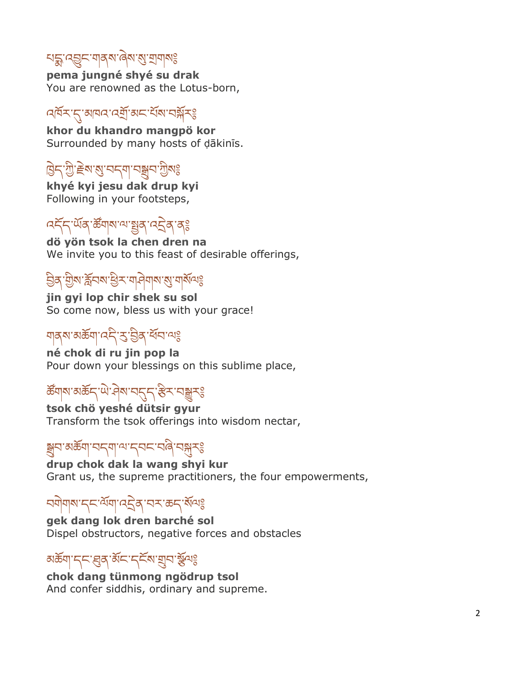# নহ্কু ব্ৰ্ভুন শৰ্ম ৰেম'ৰ্মু শ্ৰমাৰঃ

**pema jungné shyé su drak** You are renowned as the Lotus-born,

### ঀ৸ ব্যান্দ্ৰী বিদ্যালয়ৰ বিদ্যালয়ৰ বিদ্যালয়ৰ

**khor du khandro mangpö kor** Surrounded by many hosts of ḍākinīs.

## ট্টিন'স্ট্ৰ' ইন্ম'মুন'মুৰ'মুখঃ

**khyé kyi jesu dak drup kyi** Following in your footsteps,

## বহ্দ, অঁৰ উঁমাৰা আছুৰ বহ্নৰ বঃ

**dö yön tsok la chen dren na** We invite you to this feast of desirable offerings,

### ਉঝ্জুম ক্লব্দ গুৰু নাৰীৰাৰ প্ৰাৰম্ভি

**jin gyi lop chir shek su sol** So come now, bless us with your grace!

## গ্ৰান্ত মাজ্য বিশ্ববিদ্যালী

**né chok di ru jin pop la** Pour down your blessings on this sublime place,

# <del>ଌ</del>ॕॕॺऻॺॱॺऄॾॱॱफ़॓ॷॎख़ॱॳय़ख़ॷॸख़

**tsok chö yeshé dütsir gyur** Transform the tsok offerings into wisdom nectar,

### ঙ্গুন'মঙ্কৰা'নন্মা'ণ'ন্নন'নৰীৰ্'ন্সুসঃ

**drup chok dak la wang shyi kur** Grant us, the supreme practitioners, the four empowerments,

### ঘণ্ণীৰাৰাৰে অনুষ্ঠান কৰি আৰু বিদ্যালয়

**gek dang lok dren barché sol** Dispel obstructors, negative forces and obstacles

### མཆྡོག་དང་ཐུན་མྡོང་དངྡོས་གྲུབ་སྡོལ༔

**chok dang tünmong ngödrup tsol** And confer siddhis, ordinary and supreme.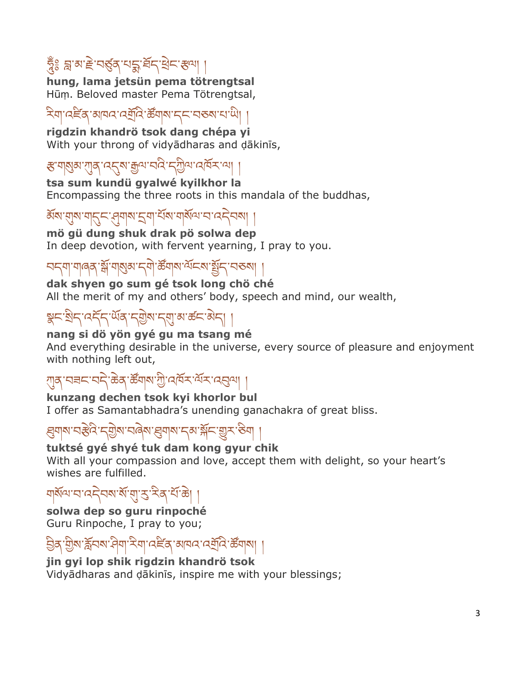# হ্নঃ দ্ৰাঝা¥ন্ত্ৰ্ভ্ৰূপৰ বাইন্দ্ৰিন ৰা

**hung, lama jetsün pema tötrengtsal** Hūṃ. Beloved master Pema Tötrengtsal,

## ঽয়৸৻ঽৼৗৢ৻য়৸ৼ৻ৼয়ড়৸ৼ৻ৼ৸ৼ৻৸৸

**rigdzin khandrö tsok dang chépa yi** With your throng of vidyādharas and ḍākinīs,

## ङ बाले अं. सर्टर अं. सेला सर्ट स्थान प्राप्त स्था ।

**tsa sum kundü gyalwé kyilkhor la** Encompassing the three roots in this mandala of the buddhas,

### ॲষ'য়্য়'শ্ব্দ্র'ন্প্রশ্ম'হ্রম'ম্রার্থম'ন'নেইবন্ম।

**mö gü dung shuk drak pö solwa dep**

In deep devotion, with fervent yearning, I pray to you.

### নন্দা নাৰৰ স্ক্ৰী নাৰ্থিৰ নলী ক্ষুত্ৰাস ব্ৰহ্ম ইনি নৰৰা

## **dak shyen go sum gé tsok long chö ché**

All the merit of my and others' body, speech and mind, our wealth,

### স্থ্ৰন'খ্ৰীন'ৰ্দ্ৰ'মুখ মুখ্য মুখ্য মুখ্য মুখ্য মুখ্য মুখ্য মুখ্য মুখ্য মুখ্য মুখ্য মুখ্য মুখ্য মুখ্

#### **nang si dö yön gyé gu ma tsang mé**

And everything desirable in the universe, every source of pleasure and enjoyment with nothing left out,

### ্শুন্ 'নৰ্≂'ন্নই`ঙ্কৰ্`ৰ্স্কৰ্ম'শ্ৰী'নেৰ্ম্কি'ৰ্ম্বৰ্ম'ৰ্ম্ভ্ৰম্' |

#### **kunzang dechen tsok kyi khorlor bul**

I offer as Samantabhadra's unending ganachakra of great bliss.

#### ਫ਼ੑਗ਼ੑੑੑੑੑੑੑੑਸ਼੶ਖ਼ਫ਼ੑਲ਼ੑ੶ਲ਼ੑੑਸ਼ੑਸ਼੶ਖ਼ਫ਼ੑਲ਼੶ਫ਼ੑਸ਼ੑਸ਼ਲ਼ੑਲ਼੶ਲ਼ੑਸ਼ੑ੶ਲ਼ਲ਼ਲ਼ਖ਼ਸ਼ੑ

#### **tuktsé gyé shyé tuk dam kong gyur chik**

With all your compassion and love, accept them with delight, so your heart's wishes are fulfilled.

### ঘার্মন্মাবা বেইবন্মার্মা মুখ্য বিদ্যালী

#### **solwa dep so guru rinpoché** Guru Rinpoche, I pray to you;

### විବ'শ্ৰীষ স্ক্ৰিনৰ দীৰা হৰা বেছৰ ৰাৱক বেন্দ্ৰবি জ্ঞান।

#### **jin gyi lop shik rigdzin khandrö tsok**

Vidyādharas and ḍākinīs, inspire me with your blessings;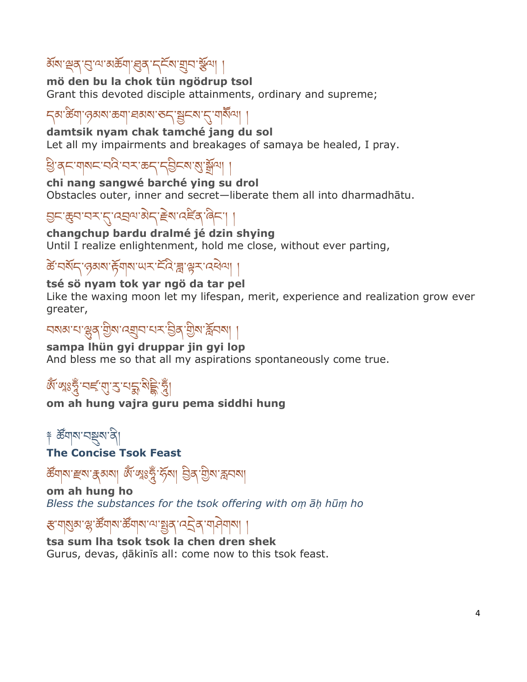## ऄॕॺॱৠঽॱড়ৢॱয়ॱয়ঌয়৸ৼড়ঽ৾ৼঢ়ড়৸ঢ়৸ড়৸ঢ়

**mö den bu la chok tün ngödrup tsol** Grant this devoted disciple attainments, ordinary and supreme;

### <u></u> দ্ঝাৰ্স্তিমাণ্ডৰাম্পৰ কৰা বিদ্যালয় বিদ্যালয় দিবী

**damtsik nyam chak tamché jang du sol**

Let all my impairments and breakages of samaya be healed, I pray.

ཕི་ནང་གསང་བའི་བར་ཆད་དབིངས་སུ་སྡོལ། །

**chi nang sangwé barché ying su drol** Obstacles outer, inner and secret—liberate them all into dharmadhātu.

བང་ཆུབ་བར་དུ་འབལ་མྗེད་རྗེས་འཛིན་ཞིང་། །

**changchup bardu dralmé jé dzin shying** Until I realize enlightenment, hold me close, without ever parting,

### <u>कें चर्षेद जुरुषा संयाय स्थित संयापा</u>

#### **tsé sö nyam tok yar ngö da tar pel**

Like the waxing moon let my lifespan, merit, experience and realization grow ever greater,

### নমন্তামাঞ্জুৰ্, শ্ৰীমানম্ৰানামাঞ্জীৰ ব্ৰিমান্ত্ৰী ৰাজ্য

#### **sampa lhün gyi druppar jin gyi lop**

And bless me so that all my aspirations spontaneously come true.

# জ্ঞা জ্ঞাঃরুঁ'নৰ্হ'য়া ? বাই'গুড়ী যুঁ

#### **om ah hung vajra guru pema siddhi hung**

# ༈ ཚོགས་བསྡུས་ནི།

**The Concise Tsok Feast**

*উঁ*ঘান্য #ন্ম' ক্লথ্য জঁ'গ্মঃত্নুঁ'ৰ্দ্যনা ව্ৰিন্'শ্ৰীন্ম'ক্লননা

**om ah hung ho** *Bless the substances for the tsok offering with oṃ āḥ hūṃ ho*

## ङ যাৰ্থ্য শ্লু স্ক্ৰীৰ অৰ্জনাৰ ভিত্তি বিদ্যালয়।

**tsa sum lha tsok tsok la chen dren shek** Gurus, devas, ḍākinīs all: come now to this tsok feast.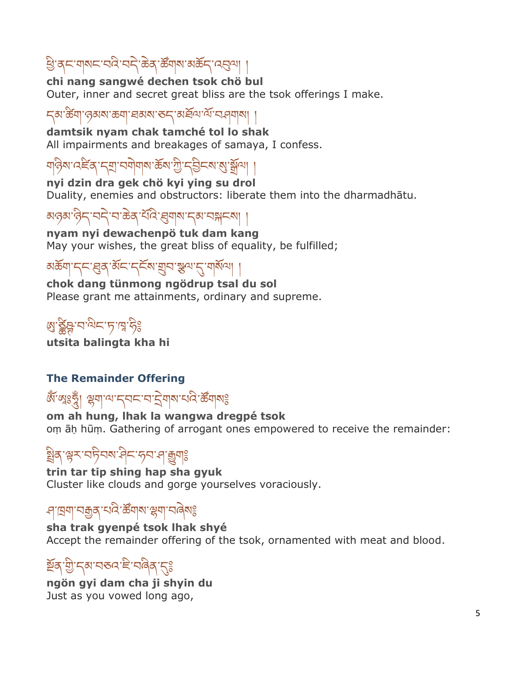## খ্রি'বৃদ'শ্মমদ'নন্দিক্টব্রাস্ত্রীস'মস্ত্রিশ্বর্শা

#### **chi nang sangwé dechen tsok chö bul**

Outer, inner and secret great bliss are the tsok offerings I make.

#### ন্ঝ'র্স্তঁশ'ন্ত্রমম'ক্তশ্'হার্মম'ন্ডন্'মার্শ্রিশ'র্মি'ন্স্ন মা

**damtsik nyam chak tamché tol lo shak** All impairments and breakages of samaya, I confess.

ঘণ্টিম'ৰ্বৰ্ইৰ্'ন্ম'নমীমাৰ্ম'ৰ্ক্তম'মী'ন্ট্ৰিন্ম'মু'ৰ্শ্ৰীমা

**nyi dzin dra gek chö kyi ying su drol** Duality, enemies and obstructors: liberate them into the dharmadhātu.

མୠམ་ୱିମ୍'བདੇ'བ་ಹិན་པོའ៝་ਖ਼ॖॖ॒གས་དམ་བསྐངས། ।

**nyam nyi dewachenpö tuk dam kang** May your wishes, the great bliss of equality, be fulfilled;

### স্ক্রিনা দ্রু শ্রুষ বিদেশ দ্রু বিদেশ বিদেশ বিদেশ দ্রি

**chok dang tünmong ngödrup tsal du sol** Please grant me attainments, ordinary and supreme.

## ཨུ་ཙིཥྚ་བ་ལིང་ཏ་ཁ ་ཧི༔

**utsita balingta kha hi**

#### **The Remainder Offering**

### জ্ঞাঁ গ্লেঃভ্লু। স্লুনান্দাননে বাইনালাই গ্লেখিয়া

**om ah hung, lhak la wangwa dregpé tsok** oṃ āḥ hūṃ. Gathering of arrogant ones empowered to receive the remainder:

### খ্রিব্'শ্নুম'নচ্নিম্ম'ন্দ্রীসংস্কৃত্রাঃ

**trin tar tip shing hap sha gyuk** Cluster like clouds and gorge yourselves voraciously.

### <u>পান্ন</u>মা নক্কুৰ বাব্য স্ক্ৰমা স্বিমা স্বিমা

**sha trak gyenpé tsok lhak shyé** Accept the remainder offering of the tsok, ornamented with meat and blood.

### <u>ళ</u>্নিস্ট্যুদ্মান্তন্দ্ৰী দ্ৰান্ত্ৰী

**ngön gyi dam cha ji shyin du** Just as you vowed long ago,